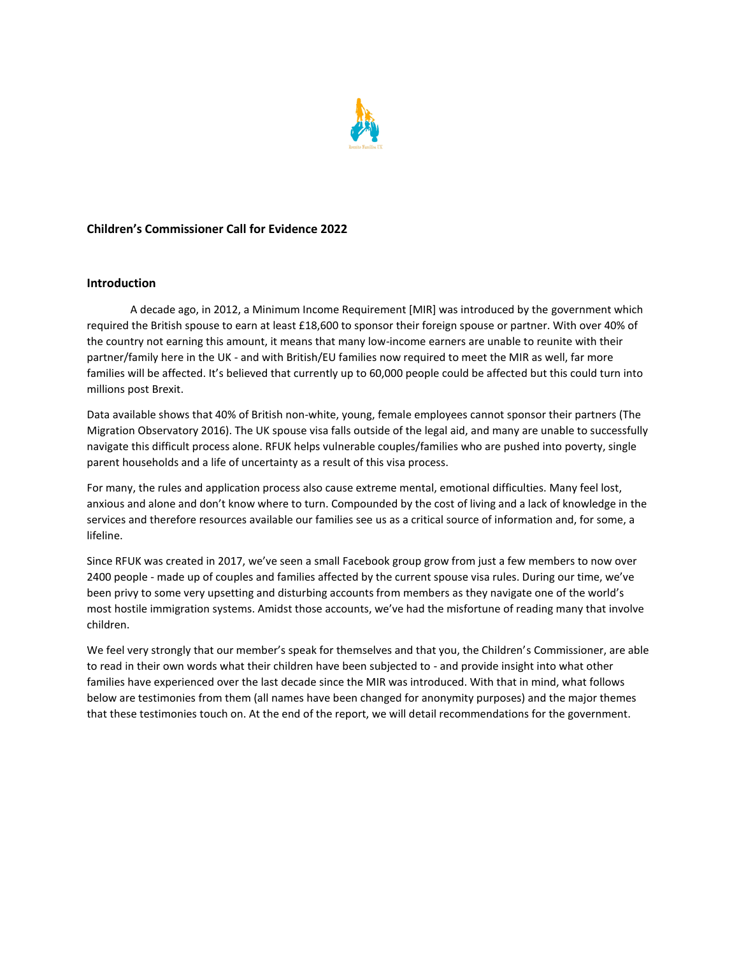

# **Children's Commissioner Call for Evidence 2022**

## **Introduction**

A decade ago, in 2012, a Minimum Income Requirement [MIR] was introduced by the government which required the British spouse to earn at least £18,600 to sponsor their foreign spouse or partner. With over 40% of the country not earning this amount, it means that many low-income earners are unable to reunite with their partner/family here in the UK - and with British/EU families now required to meet the MIR as well, far more families will be affected. It's believed that currently up to 60,000 people could be affected but this could turn into millions post Brexit.

Data available shows that 40% of British non-white, young, female employees cannot sponsor their partners (The Migration Observatory 2016). The UK spouse visa falls outside of the legal aid, and many are unable to successfully navigate this difficult process alone. RFUK helps vulnerable couples/families who are pushed into poverty, single parent households and a life of uncertainty as a result of this visa process.

For many, the rules and application process also cause extreme mental, emotional difficulties. Many feel lost, anxious and alone and don't know where to turn. Compounded by the cost of living and a lack of knowledge in the services and therefore resources available our families see us as a critical source of information and, for some, a lifeline.

Since RFUK was created in 2017, we've seen a small Facebook group grow from just a few members to now over 2400 people - made up of couples and families affected by the current spouse visa rules. During our time, we've been privy to some very upsetting and disturbing accounts from members as they navigate one of the world's most hostile immigration systems. Amidst those accounts, we've had the misfortune of reading many that involve children.

We feel very strongly that our member's speak for themselves and that you, the Children's Commissioner, are able to read in their own words what their children have been subjected to - and provide insight into what other families have experienced over the last decade since the MIR was introduced. With that in mind, what follows below are testimonies from them (all names have been changed for anonymity purposes) and the major themes that these testimonies touch on. At the end of the report, we will detail recommendations for the government.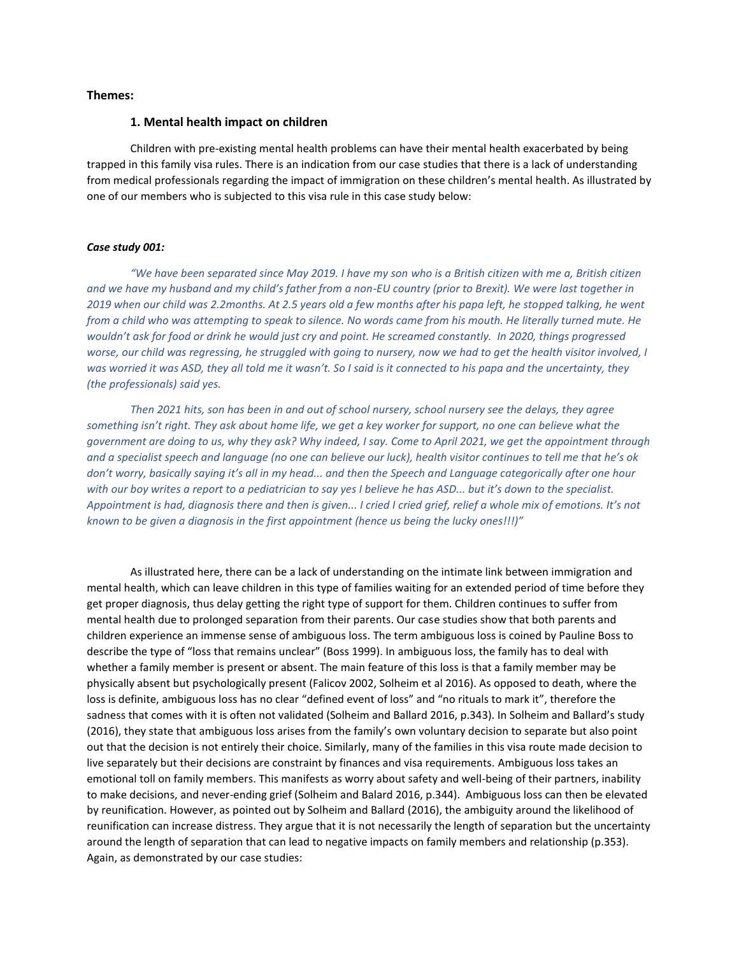## **Themes:**

## **1. Mental health impact on children**

Children with pre-existing mental health problems can have their mental health exacerbated by being trapped in this family visa rules. There is an indication from our case studies that there is a lack of understanding from medical professionals regarding the impact of immigration on these children's mental health. As illustrated by one of our members who is subjected to this visa rule in this case study below:

### *Case study 001:*

*"We have been separated since May 2019. I have my son who is a British citizen with me a, British citizen and we have my husband and my child's father from a non-EU country (prior to Brexit). We were last together in 2019 when our child was 2.2months. At 2.5 years old a few months after his papa left, he stopped talking, he went from a child who was attempting to speak to silence. No words came from his mouth. He literally turned mute. He wouldn't ask for food or drink he would just cry and point. He screamed constantly. In 2020, things progressed worse, our child was regressing, he struggled with going to nursery, now we had to get the health visitor involved, I was worried it was ASD, they all told me it wasn't. So I said is it connected to his papa and the uncertainty, they (the professionals) said yes.*

*Then 2021 hits, son has been in and out of school nursery, school nursery see the delays, they agree something isn't right. They ask about home life, we get a key worker for support, no one can believe what the government are doing to us, why they ask? Why indeed, I say. Come to April 2021, we get the appointment through and a specialist speech and language (no one can believe our luck), health visitor continues to tell me that he's ok don't worry, basically saying it's all in my head... and then the Speech and Language categorically after one hour with our boy writes a report to a pediatrician to say yes I believe he has ASD... but it's down to the specialist. Appointment is had, diagnosis there and then is given... I cried I cried grief, relief a whole mix of emotions. It's not known to be given a diagnosis in the first appointment (hence us being the lucky ones!!!)"*

As illustrated here, there can be a lack of understanding on the intimate link between immigration and mental health, which can leave children in this type of families waiting for an extended period of time before they get proper diagnosis, thus delay getting the right type of support for them. Children continues to suffer from mental health due to prolonged separation from their parents. Our case studies show that both parents and children experience an immense sense of ambiguous loss. The term ambiguous loss is coined by Pauline Boss to describe the type of "loss that remains unclear" (Boss 1999). In ambiguous loss, the family has to deal with whether a family member is present or absent. The main feature of this loss is that a family member may be physically absent but psychologically present (Falicov 2002, Solheim et al 2016). As opposed to death, where the loss is definite, ambiguous loss has no clear "defined event of loss" and "no rituals to mark it", therefore the sadness that comes with it is often not validated (Solheim and Ballard 2016, p.343). In Solheim and Ballard's study (2016), they state that ambiguous loss arises from the family's own voluntary decision to separate but also point out that the decision is not entirely their choice. Similarly, many of the families in this visa route made decision to live separately but their decisions are constraint by finances and visa requirements. Ambiguous loss takes an emotional toll on family members. This manifests as worry about safety and well-being of their partners, inability to make decisions, and never-ending grief (Solheim and Balard 2016, p.344). Ambiguous loss can then be elevated by reunification. However, as pointed out by Solheim and Ballard (2016), the ambiguity around the likelihood of reunification can increase distress. They argue that it is not necessarily the length of separation but the uncertainty around the length of separation that can lead to negative impacts on family members and relationship (p.353). Again, as demonstrated by our case studies: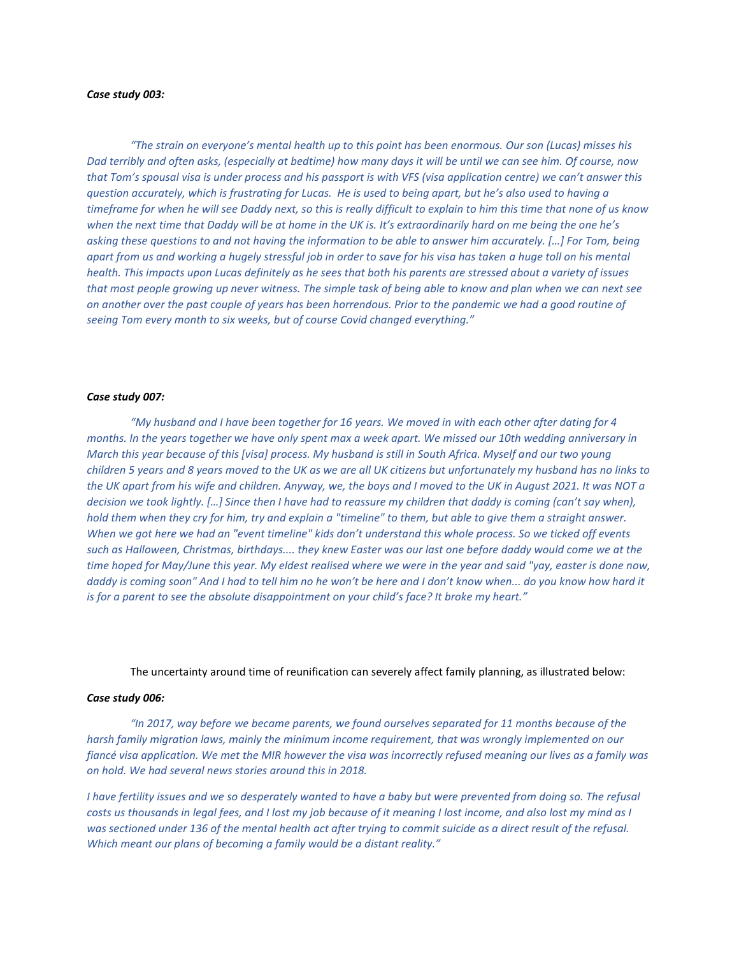## *Case study 003:*

*"The strain on everyone's mental health up to this point has been enormous. Our son (Lucas) misses his Dad terribly and often asks, (especially at bedtime) how many days it will be until we can see him. Of course, now that Tom's spousal visa is under process and his passport is with VFS (visa application centre) we can't answer this question accurately, which is frustrating for Lucas. He is used to being apart, but he's also used to having a timeframe for when he will see Daddy next, so this is really difficult to explain to him this time that none of us know when the next time that Daddy will be at home in the UK is. It's extraordinarily hard on me being the one he's asking these questions to and not having the information to be able to answer him accurately. […] For Tom, being apart from us and working a hugely stressful job in order to save for his visa has taken a huge toll on his mental health. This impacts upon Lucas definitely as he sees that both his parents are stressed about a variety of issues that most people growing up never witness. The simple task of being able to know and plan when we can next see on another over the past couple of years has been horrendous. Prior to the pandemic we had a good routine of seeing Tom every month to six weeks, but of course Covid changed everything."*

### *Case study 007:*

*"My husband and I have been together for 16 years. We moved in with each other after dating for 4 months. In the years together we have only spent max a week apart. We missed our 10th wedding anniversary in March this year because of this [visa] process. My husband is still in South Africa. Myself and our two young children 5 years and 8 years moved to the UK as we are all UK citizens but unfortunately my husband has no links to the UK apart from his wife and children. Anyway, we, the boys and I moved to the UK in August 2021. It was NOT a decision we took lightly. […] Since then I have had to reassure my children that daddy is coming (can't say when), hold them when they cry for him, try and explain a "timeline" to them, but able to give them a straight answer. When we got here we had an "event timeline" kids don't understand this whole process. So we ticked off events such as Halloween, Christmas, birthdays.... they knew Easter was our last one before daddy would come we at the time hoped for May/June this year. My eldest realised where we were in the year and said "yay, easter is done now, daddy is coming soon" And I had to tell him no he won't be here and I don't know when... do you know how hard it is for a parent to see the absolute disappointment on your child's face? It broke my heart."*

### The uncertainty around time of reunification can severely affect family planning, as illustrated below:

### *Case study 006:*

*"In 2017, way before we became parents, we found ourselves separated for 11 months because of the harsh family migration laws, mainly the minimum income requirement, that was wrongly implemented on our fiancé visa application. We met the MIR however the visa was incorrectly refused meaning our lives as a family was on hold. We had several news stories around this in 2018.*

*I have fertility issues and we so desperately wanted to have a baby but were prevented from doing so. The refusal costs us thousands in legal fees, and I lost my job because of it meaning I lost income, and also lost my mind as I*  was sectioned under 136 of the mental health act after trying to commit suicide as a direct result of the refusal. *Which meant our plans of becoming a family would be a distant reality."*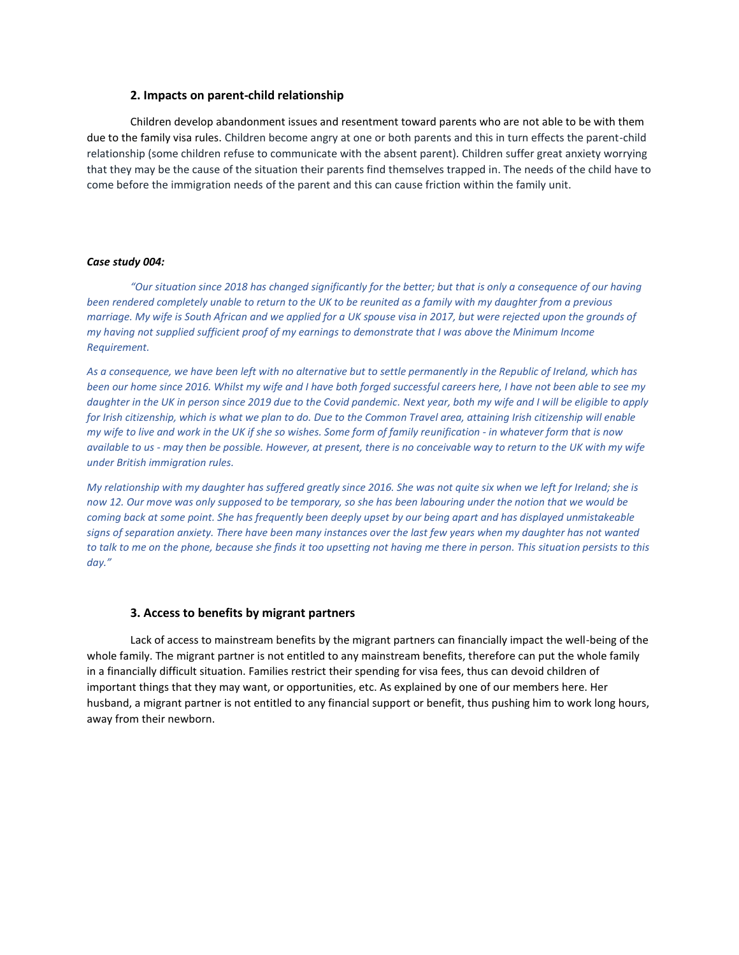## **2. Impacts on parent-child relationship**

Children develop abandonment issues and resentment toward parents who are not able to be with them due to the family visa rules. Children become angry at one or both parents and this in turn effects the parent-child relationship (some children refuse to communicate with the absent parent). Children suffer great anxiety worrying that they may be the cause of the situation their parents find themselves trapped in. The needs of the child have to come before the immigration needs of the parent and this can cause friction within the family unit.

## *Case study 004:*

*"Our situation since 2018 has changed significantly for the better; but that is only a consequence of our having been rendered completely unable to return to the UK to be reunited as a family with my daughter from a previous marriage. My wife is South African and we applied for a UK spouse visa in 2017, but were rejected upon the grounds of my having not supplied sufficient proof of my earnings to demonstrate that I was above the Minimum Income Requirement.* 

*As a consequence, we have been left with no alternative but to settle permanently in the Republic of Ireland, which has been our home since 2016. Whilst my wife and I have both forged successful careers here, I have not been able to see my daughter in the UK in person since 2019 due to the Covid pandemic. Next year, both my wife and I will be eligible to apply for Irish citizenship, which is what we plan to do. Due to the Common Travel area, attaining Irish citizenship will enable my wife to live and work in the UK if she so wishes. Some form of family reunification - in whatever form that is now available to us - may then be possible. However, at present, there is no conceivable way to return to the UK with my wife under British immigration rules.* 

*My relationship with my daughter has suffered greatly since 2016. She was not quite six when we left for Ireland; she is now 12. Our move was only supposed to be temporary, so she has been labouring under the notion that we would be coming back at some point. She has frequently been deeply upset by our being apart and has displayed unmistakeable*  signs of separation anxiety. There have been many instances over the last few years when my daughter has not wanted *to talk to me on the phone, because she finds it too upsetting not having me there in person. This situation persists to this day."*

### **3. Access to benefits by migrant partners**

Lack of access to mainstream benefits by the migrant partners can financially impact the well-being of the whole family. The migrant partner is not entitled to any mainstream benefits, therefore can put the whole family in a financially difficult situation. Families restrict their spending for visa fees, thus can devoid children of important things that they may want, or opportunities, etc. As explained by one of our members here. Her husband, a migrant partner is not entitled to any financial support or benefit, thus pushing him to work long hours, away from their newborn.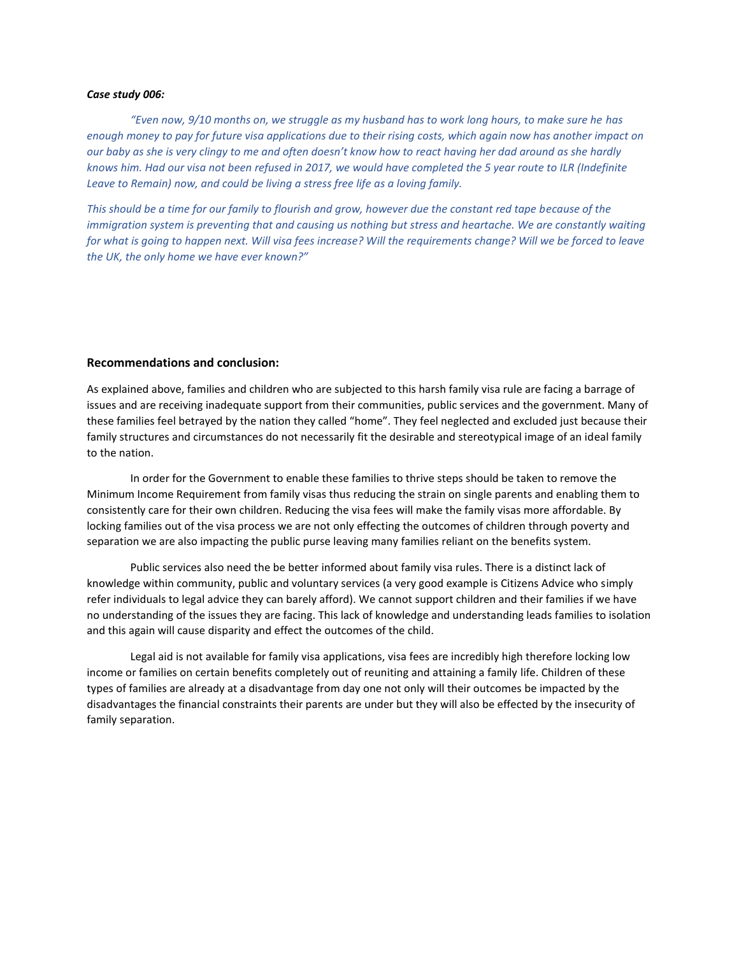## *Case study 006:*

*"Even now, 9/10 months on, we struggle as my husband has to work long hours, to make sure he has enough money to pay for future visa applications due to their rising costs, which again now has another impact on our baby as she is very clingy to me and often doesn't know how to react having her dad around as she hardly knows him. Had our visa not been refused in 2017, we would have completed the 5 year route to ILR (Indefinite Leave to Remain) now, and could be living a stress free life as a loving family.*

*This should be a time for our family to flourish and grow, however due the constant red tape because of the immigration system is preventing that and causing us nothing but stress and heartache. We are constantly waiting for what is going to happen next. Will visa fees increase? Will the requirements change? Will we be forced to leave the UK, the only home we have ever known?"*

## **Recommendations and conclusion:**

As explained above, families and children who are subjected to this harsh family visa rule are facing a barrage of issues and are receiving inadequate support from their communities, public services and the government. Many of these families feel betrayed by the nation they called "home". They feel neglected and excluded just because their family structures and circumstances do not necessarily fit the desirable and stereotypical image of an ideal family to the nation.

In order for the Government to enable these families to thrive steps should be taken to remove the Minimum Income Requirement from family visas thus reducing the strain on single parents and enabling them to consistently care for their own children. Reducing the visa fees will make the family visas more affordable. By locking families out of the visa process we are not only effecting the outcomes of children through poverty and separation we are also impacting the public purse leaving many families reliant on the benefits system.

Public services also need the be better informed about family visa rules. There is a distinct lack of knowledge within community, public and voluntary services (a very good example is Citizens Advice who simply refer individuals to legal advice they can barely afford). We cannot support children and their families if we have no understanding of the issues they are facing. This lack of knowledge and understanding leads families to isolation and this again will cause disparity and effect the outcomes of the child.

Legal aid is not available for family visa applications, visa fees are incredibly high therefore locking low income or families on certain benefits completely out of reuniting and attaining a family life. Children of these types of families are already at a disadvantage from day one not only will their outcomes be impacted by the disadvantages the financial constraints their parents are under but they will also be effected by the insecurity of family separation.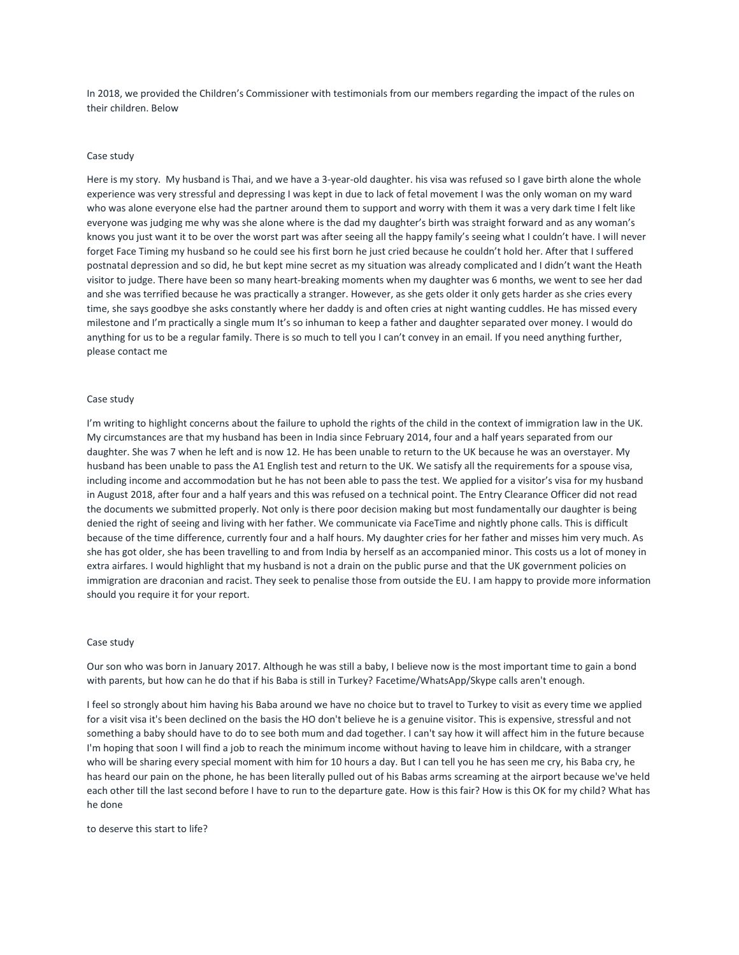In 2018, we provided the Children's Commissioner with testimonials from our members regarding the impact of the rules on their children. Below

#### Case study

Here is my story. My husband is Thai, and we have a 3-year-old daughter. his visa was refused so I gave birth alone the whole experience was very stressful and depressing I was kept in due to lack of fetal movement I was the only woman on my ward who was alone everyone else had the partner around them to support and worry with them it was a very dark time I felt like everyone was judging me why was she alone where is the dad my daughter's birth was straight forward and as any woman's knows you just want it to be over the worst part was after seeing all the happy family's seeing what I couldn't have. I will never forget Face Timing my husband so he could see his first born he just cried because he couldn't hold her. After that I suffered postnatal depression and so did, he but kept mine secret as my situation was already complicated and I didn't want the Heath visitor to judge. There have been so many heart-breaking moments when my daughter was 6 months, we went to see her dad and she was terrified because he was practically a stranger. However, as she gets older it only gets harder as she cries every time, she says goodbye she asks constantly where her daddy is and often cries at night wanting cuddles. He has missed every milestone and I'm practically a single mum It's so inhuman to keep a father and daughter separated over money. I would do anything for us to be a regular family. There is so much to tell you I can't convey in an email. If you need anything further, please contact me

#### Case study

I'm writing to highlight concerns about the failure to uphold the rights of the child in the context of immigration law in the UK. My circumstances are that my husband has been in India since February 2014, four and a half years separated from our daughter. She was 7 when he left and is now 12. He has been unable to return to the UK because he was an overstayer. My husband has been unable to pass the A1 English test and return to the UK. We satisfy all the requirements for a spouse visa, including income and accommodation but he has not been able to pass the test. We applied for a visitor's visa for my husband in August 2018, after four and a half years and this was refused on a technical point. The Entry Clearance Officer did not read the documents we submitted properly. Not only is there poor decision making but most fundamentally our daughter is being denied the right of seeing and living with her father. We communicate via FaceTime and nightly phone calls. This is difficult because of the time difference, currently four and a half hours. My daughter cries for her father and misses him very much. As she has got older, she has been travelling to and from India by herself as an accompanied minor. This costs us a lot of money in extra airfares. I would highlight that my husband is not a drain on the public purse and that the UK government policies on immigration are draconian and racist. They seek to penalise those from outside the EU. I am happy to provide more information should you require it for your report.

#### Case study

Our son who was born in January 2017. Although he was still a baby, I believe now is the most important time to gain a bond with parents, but how can he do that if his Baba is still in Turkey? Facetime/WhatsApp/Skype calls aren't enough.

I feel so strongly about him having his Baba around we have no choice but to travel to Turkey to visit as every time we applied for a visit visa it's been declined on the basis the HO don't believe he is a genuine visitor. This is expensive, stressful and not something a baby should have to do to see both mum and dad together. I can't say how it will affect him in the future because I'm hoping that soon I will find a job to reach the minimum income without having to leave him in childcare, with a stranger who will be sharing every special moment with him for 10 hours a day. But I can tell you he has seen me cry, his Baba cry, he has heard our pain on the phone, he has been literally pulled out of his Babas arms screaming at the airport because we've held each other till the last second before I have to run to the departure gate. How is this fair? How is this OK for my child? What has he done

to deserve this start to life?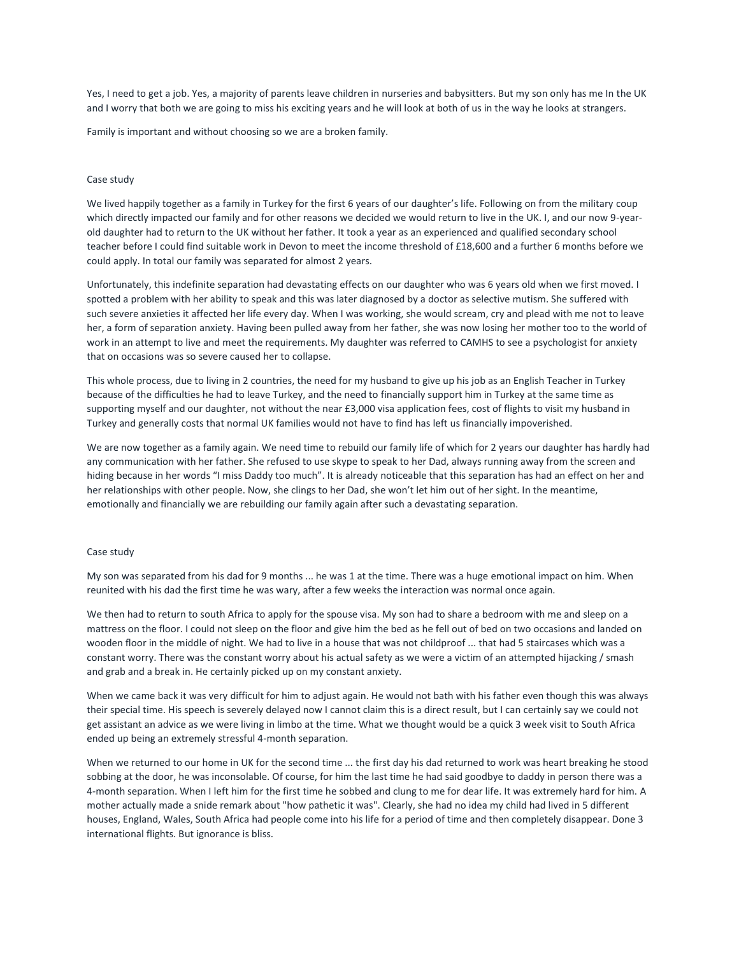Yes, I need to get a job. Yes, a majority of parents leave children in nurseries and babysitters. But my son only has me In the UK and I worry that both we are going to miss his exciting years and he will look at both of us in the way he looks at strangers.

Family is important and without choosing so we are a broken family.

#### Case study

We lived happily together as a family in Turkey for the first 6 years of our daughter's life. Following on from the military coup which directly impacted our family and for other reasons we decided we would return to live in the UK. I, and our now 9-yearold daughter had to return to the UK without her father. It took a year as an experienced and qualified secondary school teacher before I could find suitable work in Devon to meet the income threshold of £18,600 and a further 6 months before we could apply. In total our family was separated for almost 2 years.

Unfortunately, this indefinite separation had devastating effects on our daughter who was 6 years old when we first moved. I spotted a problem with her ability to speak and this was later diagnosed by a doctor as selective mutism. She suffered with such severe anxieties it affected her life every day. When I was working, she would scream, cry and plead with me not to leave her, a form of separation anxiety. Having been pulled away from her father, she was now losing her mother too to the world of work in an attempt to live and meet the requirements. My daughter was referred to CAMHS to see a psychologist for anxiety that on occasions was so severe caused her to collapse.

This whole process, due to living in 2 countries, the need for my husband to give up his job as an English Teacher in Turkey because of the difficulties he had to leave Turkey, and the need to financially support him in Turkey at the same time as supporting myself and our daughter, not without the near £3,000 visa application fees, cost of flights to visit my husband in Turkey and generally costs that normal UK families would not have to find has left us financially impoverished.

We are now together as a family again. We need time to rebuild our family life of which for 2 years our daughter has hardly had any communication with her father. She refused to use skype to speak to her Dad, always running away from the screen and hiding because in her words "I miss Daddy too much". It is already noticeable that this separation has had an effect on her and her relationships with other people. Now, she clings to her Dad, she won't let him out of her sight. In the meantime, emotionally and financially we are rebuilding our family again after such a devastating separation.

#### Case study

My son was separated from his dad for 9 months ... he was 1 at the time. There was a huge emotional impact on him. When reunited with his dad the first time he was wary, after a few weeks the interaction was normal once again.

We then had to return to south Africa to apply for the spouse visa. My son had to share a bedroom with me and sleep on a mattress on the floor. I could not sleep on the floor and give him the bed as he fell out of bed on two occasions and landed on wooden floor in the middle of night. We had to live in a house that was not childproof ... that had 5 staircases which was a constant worry. There was the constant worry about his actual safety as we were a victim of an attempted hijacking / smash and grab and a break in. He certainly picked up on my constant anxiety.

When we came back it was very difficult for him to adjust again. He would not bath with his father even though this was always their special time. His speech is severely delayed now I cannot claim this is a direct result, but I can certainly say we could not get assistant an advice as we were living in limbo at the time. What we thought would be a quick 3 week visit to South Africa ended up being an extremely stressful 4-month separation.

When we returned to our home in UK for the second time ... the first day his dad returned to work was heart breaking he stood sobbing at the door, he was inconsolable. Of course, for him the last time he had said goodbye to daddy in person there was a 4-month separation. When I left him for the first time he sobbed and clung to me for dear life. It was extremely hard for him. A mother actually made a snide remark about "how pathetic it was". Clearly, she had no idea my child had lived in 5 different houses, England, Wales, South Africa had people come into his life for a period of time and then completely disappear. Done 3 international flights. But ignorance is bliss.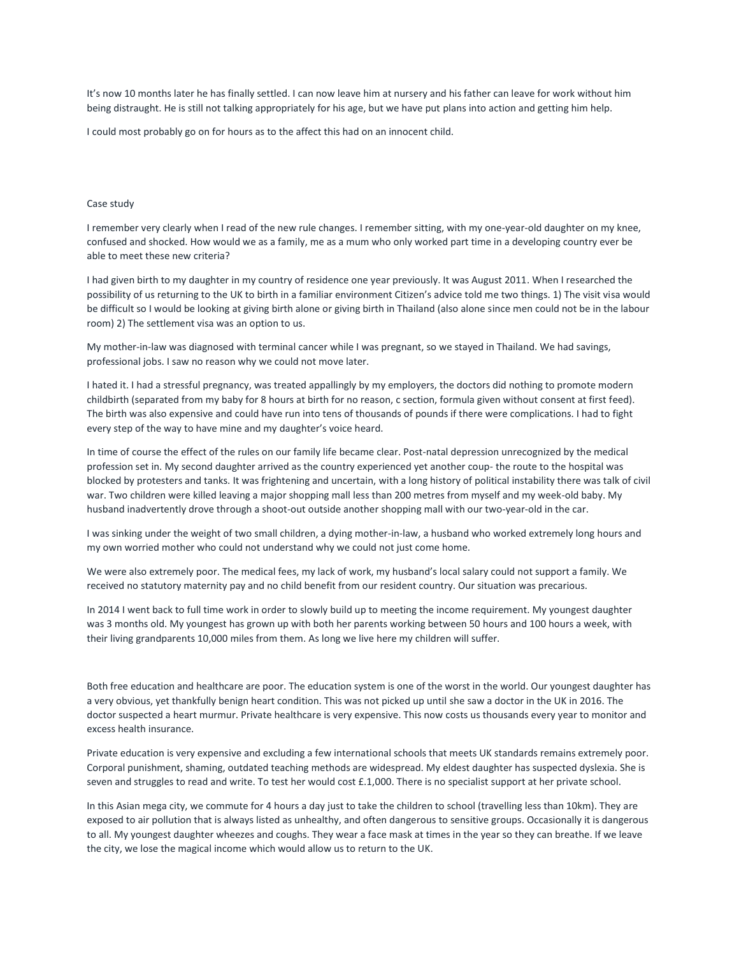It's now 10 months later he has finally settled. I can now leave him at nursery and his father can leave for work without him being distraught. He is still not talking appropriately for his age, but we have put plans into action and getting him help.

I could most probably go on for hours as to the affect this had on an innocent child.

### Case study

I remember very clearly when I read of the new rule changes. I remember sitting, with my one-year-old daughter on my knee, confused and shocked. How would we as a family, me as a mum who only worked part time in a developing country ever be able to meet these new criteria?

I had given birth to my daughter in my country of residence one year previously. It was August 2011. When I researched the possibility of us returning to the UK to birth in a familiar environment Citizen's advice told me two things. 1) The visit visa would be difficult so I would be looking at giving birth alone or giving birth in Thailand (also alone since men could not be in the labour room) 2) The settlement visa was an option to us.

My mother-in-law was diagnosed with terminal cancer while I was pregnant, so we stayed in Thailand. We had savings, professional jobs. I saw no reason why we could not move later.

I hated it. I had a stressful pregnancy, was treated appallingly by my employers, the doctors did nothing to promote modern childbirth (separated from my baby for 8 hours at birth for no reason, c section, formula given without consent at first feed). The birth was also expensive and could have run into tens of thousands of pounds if there were complications. I had to fight every step of the way to have mine and my daughter's voice heard.

In time of course the effect of the rules on our family life became clear. Post-natal depression unrecognized by the medical profession set in. My second daughter arrived as the country experienced yet another coup- the route to the hospital was blocked by protesters and tanks. It was frightening and uncertain, with a long history of political instability there was talk of civil war. Two children were killed leaving a major shopping mall less than 200 metres from myself and my week-old baby. My husband inadvertently drove through a shoot-out outside another shopping mall with our two-year-old in the car.

I was sinking under the weight of two small children, a dying mother-in-law, a husband who worked extremely long hours and my own worried mother who could not understand why we could not just come home.

We were also extremely poor. The medical fees, my lack of work, my husband's local salary could not support a family. We received no statutory maternity pay and no child benefit from our resident country. Our situation was precarious.

In 2014 I went back to full time work in order to slowly build up to meeting the income requirement. My youngest daughter was 3 months old. My youngest has grown up with both her parents working between 50 hours and 100 hours a week, with their living grandparents 10,000 miles from them. As long we live here my children will suffer.

Both free education and healthcare are poor. The education system is one of the worst in the world. Our youngest daughter has a very obvious, yet thankfully benign heart condition. This was not picked up until she saw a doctor in the UK in 2016. The doctor suspected a heart murmur. Private healthcare is very expensive. This now costs us thousands every year to monitor and excess health insurance.

Private education is very expensive and excluding a few international schools that meets UK standards remains extremely poor. Corporal punishment, shaming, outdated teaching methods are widespread. My eldest daughter has suspected dyslexia. She is seven and struggles to read and write. To test her would cost £.1,000. There is no specialist support at her private school.

In this Asian mega city, we commute for 4 hours a day just to take the children to school (travelling less than 10km). They are exposed to air pollution that is always listed as unhealthy, and often dangerous to sensitive groups. Occasionally it is dangerous to all. My youngest daughter wheezes and coughs. They wear a face mask at times in the year so they can breathe. If we leave the city, we lose the magical income which would allow us to return to the UK.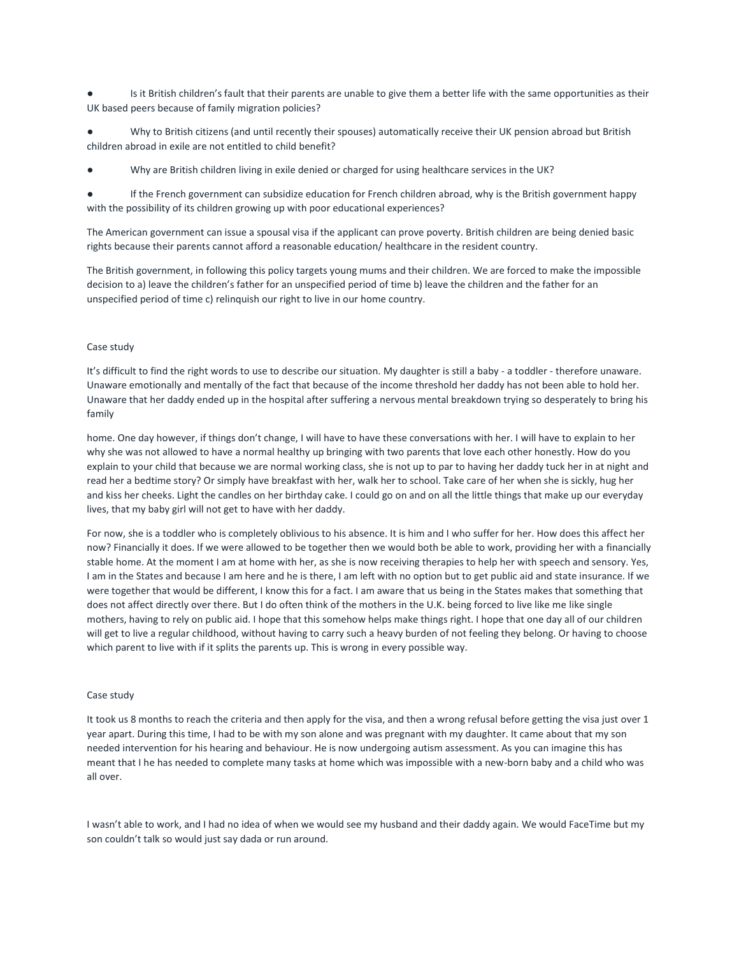Is it British children's fault that their parents are unable to give them a better life with the same opportunities as their UK based peers because of family migration policies?

Why to British citizens (and until recently their spouses) automatically receive their UK pension abroad but British children abroad in exile are not entitled to child benefit?

Why are British children living in exile denied or charged for using healthcare services in the UK?

If the French government can subsidize education for French children abroad, why is the British government happy with the possibility of its children growing up with poor educational experiences?

The American government can issue a spousal visa if the applicant can prove poverty. British children are being denied basic rights because their parents cannot afford a reasonable education/ healthcare in the resident country.

The British government, in following this policy targets young mums and their children. We are forced to make the impossible decision to a) leave the children's father for an unspecified period of time b) leave the children and the father for an unspecified period of time c) relinquish our right to live in our home country.

#### Case study

It's difficult to find the right words to use to describe our situation. My daughter is still a baby - a toddler - therefore unaware. Unaware emotionally and mentally of the fact that because of the income threshold her daddy has not been able to hold her. Unaware that her daddy ended up in the hospital after suffering a nervous mental breakdown trying so desperately to bring his family

home. One day however, if things don't change, I will have to have these conversations with her. I will have to explain to her why she was not allowed to have a normal healthy up bringing with two parents that love each other honestly. How do you explain to your child that because we are normal working class, she is not up to par to having her daddy tuck her in at night and read her a bedtime story? Or simply have breakfast with her, walk her to school. Take care of her when she is sickly, hug her and kiss her cheeks. Light the candles on her birthday cake. I could go on and on all the little things that make up our everyday lives, that my baby girl will not get to have with her daddy.

For now, she is a toddler who is completely oblivious to his absence. It is him and I who suffer for her. How does this affect her now? Financially it does. If we were allowed to be together then we would both be able to work, providing her with a financially stable home. At the moment I am at home with her, as she is now receiving therapies to help her with speech and sensory. Yes, I am in the States and because I am here and he is there, I am left with no option but to get public aid and state insurance. If we were together that would be different, I know this for a fact. I am aware that us being in the States makes that something that does not affect directly over there. But I do often think of the mothers in the U.K. being forced to live like me like single mothers, having to rely on public aid. I hope that this somehow helps make things right. I hope that one day all of our children will get to live a regular childhood, without having to carry such a heavy burden of not feeling they belong. Or having to choose which parent to live with if it splits the parents up. This is wrong in every possible way.

### Case study

It took us 8 months to reach the criteria and then apply for the visa, and then a wrong refusal before getting the visa just over 1 year apart. During this time, I had to be with my son alone and was pregnant with my daughter. It came about that my son needed intervention for his hearing and behaviour. He is now undergoing autism assessment. As you can imagine this has meant that I he has needed to complete many tasks at home which was impossible with a new-born baby and a child who was all over.

I wasn't able to work, and I had no idea of when we would see my husband and their daddy again. We would FaceTime but my son couldn't talk so would just say dada or run around.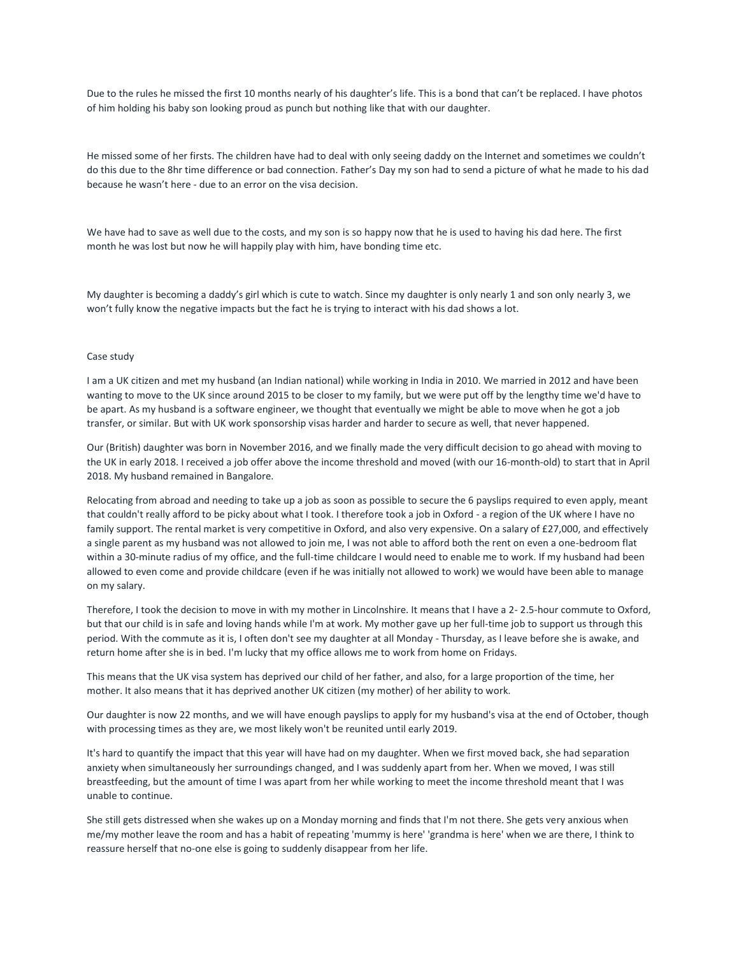Due to the rules he missed the first 10 months nearly of his daughter's life. This is a bond that can't be replaced. I have photos of him holding his baby son looking proud as punch but nothing like that with our daughter.

He missed some of her firsts. The children have had to deal with only seeing daddy on the Internet and sometimes we couldn't do this due to the 8hr time difference or bad connection. Father's Day my son had to send a picture of what he made to his dad because he wasn't here - due to an error on the visa decision.

We have had to save as well due to the costs, and my son is so happy now that he is used to having his dad here. The first month he was lost but now he will happily play with him, have bonding time etc.

My daughter is becoming a daddy's girl which is cute to watch. Since my daughter is only nearly 1 and son only nearly 3, we won't fully know the negative impacts but the fact he is trying to interact with his dad shows a lot.

### Case study

I am a UK citizen and met my husband (an Indian national) while working in India in 2010. We married in 2012 and have been wanting to move to the UK since around 2015 to be closer to my family, but we were put off by the lengthy time we'd have to be apart. As my husband is a software engineer, we thought that eventually we might be able to move when he got a job transfer, or similar. But with UK work sponsorship visas harder and harder to secure as well, that never happened.

Our (British) daughter was born in November 2016, and we finally made the very difficult decision to go ahead with moving to the UK in early 2018. I received a job offer above the income threshold and moved (with our 16-month-old) to start that in April 2018. My husband remained in Bangalore.

Relocating from abroad and needing to take up a job as soon as possible to secure the 6 payslips required to even apply, meant that couldn't really afford to be picky about what I took. I therefore took a job in Oxford - a region of the UK where I have no family support. The rental market is very competitive in Oxford, and also very expensive. On a salary of £27,000, and effectively a single parent as my husband was not allowed to join me, I was not able to afford both the rent on even a one-bedroom flat within a 30-minute radius of my office, and the full-time childcare I would need to enable me to work. If my husband had been allowed to even come and provide childcare (even if he was initially not allowed to work) we would have been able to manage on my salary.

Therefore, I took the decision to move in with my mother in Lincolnshire. It means that I have a 2- 2.5-hour commute to Oxford, but that our child is in safe and loving hands while I'm at work. My mother gave up her full-time job to support us through this period. With the commute as it is, I often don't see my daughter at all Monday - Thursday, as I leave before she is awake, and return home after she is in bed. I'm lucky that my office allows me to work from home on Fridays.

This means that the UK visa system has deprived our child of her father, and also, for a large proportion of the time, her mother. It also means that it has deprived another UK citizen (my mother) of her ability to work.

Our daughter is now 22 months, and we will have enough payslips to apply for my husband's visa at the end of October, though with processing times as they are, we most likely won't be reunited until early 2019.

It's hard to quantify the impact that this year will have had on my daughter. When we first moved back, she had separation anxiety when simultaneously her surroundings changed, and I was suddenly apart from her. When we moved, I was still breastfeeding, but the amount of time I was apart from her while working to meet the income threshold meant that I was unable to continue.

She still gets distressed when she wakes up on a Monday morning and finds that I'm not there. She gets very anxious when me/my mother leave the room and has a habit of repeating 'mummy is here' 'grandma is here' when we are there, I think to reassure herself that no-one else is going to suddenly disappear from her life.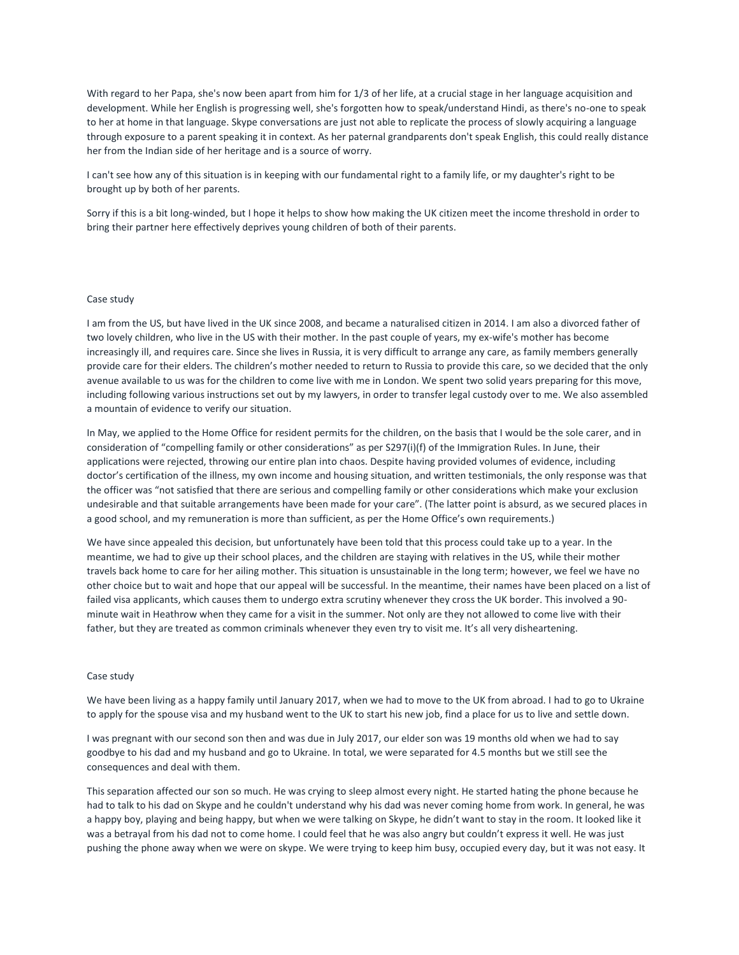With regard to her Papa, she's now been apart from him for 1/3 of her life, at a crucial stage in her language acquisition and development. While her English is progressing well, she's forgotten how to speak/understand Hindi, as there's no-one to speak to her at home in that language. Skype conversations are just not able to replicate the process of slowly acquiring a language through exposure to a parent speaking it in context. As her paternal grandparents don't speak English, this could really distance her from the Indian side of her heritage and is a source of worry.

I can't see how any of this situation is in keeping with our fundamental right to a family life, or my daughter's right to be brought up by both of her parents.

Sorry if this is a bit long-winded, but I hope it helps to show how making the UK citizen meet the income threshold in order to bring their partner here effectively deprives young children of both of their parents.

#### Case study

I am from the US, but have lived in the UK since 2008, and became a naturalised citizen in 2014. I am also a divorced father of two lovely children, who live in the US with their mother. In the past couple of years, my ex-wife's mother has become increasingly ill, and requires care. Since she lives in Russia, it is very difficult to arrange any care, as family members generally provide care for their elders. The children's mother needed to return to Russia to provide this care, so we decided that the only avenue available to us was for the children to come live with me in London. We spent two solid years preparing for this move, including following various instructions set out by my lawyers, in order to transfer legal custody over to me. We also assembled a mountain of evidence to verify our situation.

In May, we applied to the Home Office for resident permits for the children, on the basis that I would be the sole carer, and in consideration of "compelling family or other considerations" as per S297(i)(f) of the Immigration Rules. In June, their applications were rejected, throwing our entire plan into chaos. Despite having provided volumes of evidence, including doctor's certification of the illness, my own income and housing situation, and written testimonials, the only response was that the officer was "not satisfied that there are serious and compelling family or other considerations which make your exclusion undesirable and that suitable arrangements have been made for your care". (The latter point is absurd, as we secured places in a good school, and my remuneration is more than sufficient, as per the Home Office's own requirements.)

We have since appealed this decision, but unfortunately have been told that this process could take up to a year. In the meantime, we had to give up their school places, and the children are staying with relatives in the US, while their mother travels back home to care for her ailing mother. This situation is unsustainable in the long term; however, we feel we have no other choice but to wait and hope that our appeal will be successful. In the meantime, their names have been placed on a list of failed visa applicants, which causes them to undergo extra scrutiny whenever they cross the UK border. This involved a 90 minute wait in Heathrow when they came for a visit in the summer. Not only are they not allowed to come live with their father, but they are treated as common criminals whenever they even try to visit me. It's all very disheartening.

#### Case study

We have been living as a happy family until January 2017, when we had to move to the UK from abroad. I had to go to Ukraine to apply for the spouse visa and my husband went to the UK to start his new job, find a place for us to live and settle down.

I was pregnant with our second son then and was due in July 2017, our elder son was 19 months old when we had to say goodbye to his dad and my husband and go to Ukraine. In total, we were separated for 4.5 months but we still see the consequences and deal with them.

This separation affected our son so much. He was crying to sleep almost every night. He started hating the phone because he had to talk to his dad on Skype and he couldn't understand why his dad was never coming home from work. In general, he was a happy boy, playing and being happy, but when we were talking on Skype, he didn't want to stay in the room. It looked like it was a betrayal from his dad not to come home. I could feel that he was also angry but couldn't express it well. He was just pushing the phone away when we were on skype. We were trying to keep him busy, occupied every day, but it was not easy. It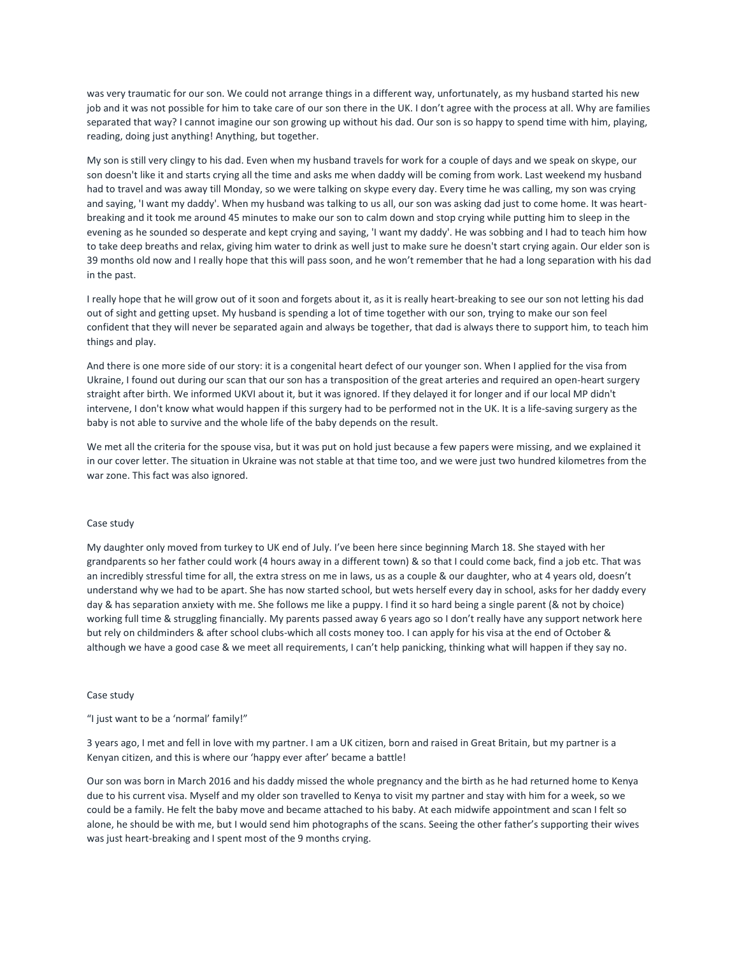was very traumatic for our son. We could not arrange things in a different way, unfortunately, as my husband started his new job and it was not possible for him to take care of our son there in the UK. I don't agree with the process at all. Why are families separated that way? I cannot imagine our son growing up without his dad. Our son is so happy to spend time with him, playing, reading, doing just anything! Anything, but together.

My son is still very clingy to his dad. Even when my husband travels for work for a couple of days and we speak on skype, our son doesn't like it and starts crying all the time and asks me when daddy will be coming from work. Last weekend my husband had to travel and was away till Monday, so we were talking on skype every day. Every time he was calling, my son was crying and saying, 'I want my daddy'. When my husband was talking to us all, our son was asking dad just to come home. It was heartbreaking and it took me around 45 minutes to make our son to calm down and stop crying while putting him to sleep in the evening as he sounded so desperate and kept crying and saying, 'I want my daddy'. He was sobbing and I had to teach him how to take deep breaths and relax, giving him water to drink as well just to make sure he doesn't start crying again. Our elder son is 39 months old now and I really hope that this will pass soon, and he won't remember that he had a long separation with his dad in the past.

I really hope that he will grow out of it soon and forgets about it, as it is really heart-breaking to see our son not letting his dad out of sight and getting upset. My husband is spending a lot of time together with our son, trying to make our son feel confident that they will never be separated again and always be together, that dad is always there to support him, to teach him things and play.

And there is one more side of our story: it is a congenital heart defect of our younger son. When I applied for the visa from Ukraine, I found out during our scan that our son has a transposition of the great arteries and required an open-heart surgery straight after birth. We informed UKVI about it, but it was ignored. If they delayed it for longer and if our local MP didn't intervene, I don't know what would happen if this surgery had to be performed not in the UK. It is a life-saving surgery as the baby is not able to survive and the whole life of the baby depends on the result.

We met all the criteria for the spouse visa, but it was put on hold just because a few papers were missing, and we explained it in our cover letter. The situation in Ukraine was not stable at that time too, and we were just two hundred kilometres from the war zone. This fact was also ignored.

#### Case study

My daughter only moved from turkey to UK end of July. I've been here since beginning March 18. She stayed with her grandparents so her father could work (4 hours away in a different town) & so that I could come back, find a job etc. That was an incredibly stressful time for all, the extra stress on me in laws, us as a couple & our daughter, who at 4 years old, doesn't understand why we had to be apart. She has now started school, but wets herself every day in school, asks for her daddy every day & has separation anxiety with me. She follows me like a puppy. I find it so hard being a single parent (& not by choice) working full time & struggling financially. My parents passed away 6 years ago so I don't really have any support network here but rely on childminders & after school clubs-which all costs money too. I can apply for his visa at the end of October & although we have a good case & we meet all requirements, I can't help panicking, thinking what will happen if they say no.

#### Case study

"I just want to be a 'normal' family!"

3 years ago, I met and fell in love with my partner. I am a UK citizen, born and raised in Great Britain, but my partner is a Kenyan citizen, and this is where our 'happy ever after' became a battle!

Our son was born in March 2016 and his daddy missed the whole pregnancy and the birth as he had returned home to Kenya due to his current visa. Myself and my older son travelled to Kenya to visit my partner and stay with him for a week, so we could be a family. He felt the baby move and became attached to his baby. At each midwife appointment and scan I felt so alone, he should be with me, but I would send him photographs of the scans. Seeing the other father's supporting their wives was just heart-breaking and I spent most of the 9 months crying.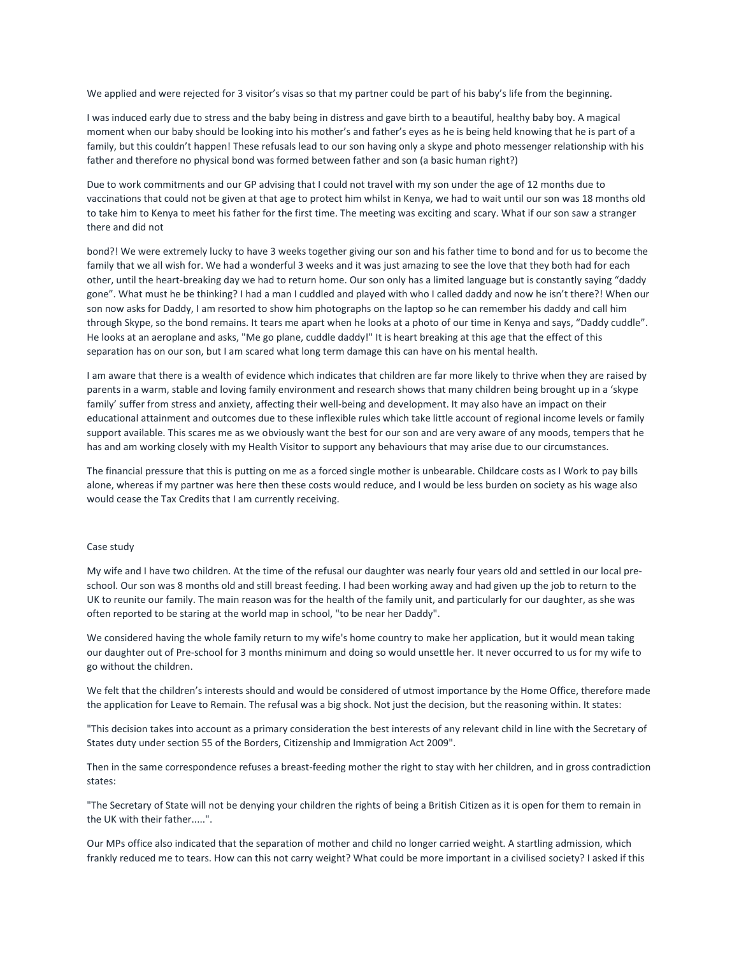We applied and were rejected for 3 visitor's visas so that my partner could be part of his baby's life from the beginning.

I was induced early due to stress and the baby being in distress and gave birth to a beautiful, healthy baby boy. A magical moment when our baby should be looking into his mother's and father's eyes as he is being held knowing that he is part of a family, but this couldn't happen! These refusals lead to our son having only a skype and photo messenger relationship with his father and therefore no physical bond was formed between father and son (a basic human right?)

Due to work commitments and our GP advising that I could not travel with my son under the age of 12 months due to vaccinations that could not be given at that age to protect him whilst in Kenya, we had to wait until our son was 18 months old to take him to Kenya to meet his father for the first time. The meeting was exciting and scary. What if our son saw a stranger there and did not

bond?! We were extremely lucky to have 3 weeks together giving our son and his father time to bond and for us to become the family that we all wish for. We had a wonderful 3 weeks and it was just amazing to see the love that they both had for each other, until the heart-breaking day we had to return home. Our son only has a limited language but is constantly saying "daddy gone". What must he be thinking? I had a man I cuddled and played with who I called daddy and now he isn't there?! When our son now asks for Daddy, I am resorted to show him photographs on the laptop so he can remember his daddy and call him through Skype, so the bond remains. It tears me apart when he looks at a photo of our time in Kenya and says, "Daddy cuddle". He looks at an aeroplane and asks, "Me go plane, cuddle daddy!" It is heart breaking at this age that the effect of this separation has on our son, but I am scared what long term damage this can have on his mental health.

I am aware that there is a wealth of evidence which indicates that children are far more likely to thrive when they are raised by parents in a warm, stable and loving family environment and research shows that many children being brought up in a 'skype family' suffer from stress and anxiety, affecting their well-being and development. It may also have an impact on their educational attainment and outcomes due to these inflexible rules which take little account of regional income levels or family support available. This scares me as we obviously want the best for our son and are very aware of any moods, tempers that he has and am working closely with my Health Visitor to support any behaviours that may arise due to our circumstances.

The financial pressure that this is putting on me as a forced single mother is unbearable. Childcare costs as I Work to pay bills alone, whereas if my partner was here then these costs would reduce, and I would be less burden on society as his wage also would cease the Tax Credits that I am currently receiving.

#### Case study

My wife and I have two children. At the time of the refusal our daughter was nearly four years old and settled in our local preschool. Our son was 8 months old and still breast feeding. I had been working away and had given up the job to return to the UK to reunite our family. The main reason was for the health of the family unit, and particularly for our daughter, as she was often reported to be staring at the world map in school, "to be near her Daddy".

We considered having the whole family return to my wife's home country to make her application, but it would mean taking our daughter out of Pre-school for 3 months minimum and doing so would unsettle her. It never occurred to us for my wife to go without the children.

We felt that the children's interests should and would be considered of utmost importance by the Home Office, therefore made the application for Leave to Remain. The refusal was a big shock. Not just the decision, but the reasoning within. It states:

"This decision takes into account as a primary consideration the best interests of any relevant child in line with the Secretary of States duty under section 55 of the Borders, Citizenship and Immigration Act 2009".

Then in the same correspondence refuses a breast-feeding mother the right to stay with her children, and in gross contradiction states:

"The Secretary of State will not be denying your children the rights of being a British Citizen as it is open for them to remain in the UK with their father.....".

Our MPs office also indicated that the separation of mother and child no longer carried weight. A startling admission, which frankly reduced me to tears. How can this not carry weight? What could be more important in a civilised society? I asked if this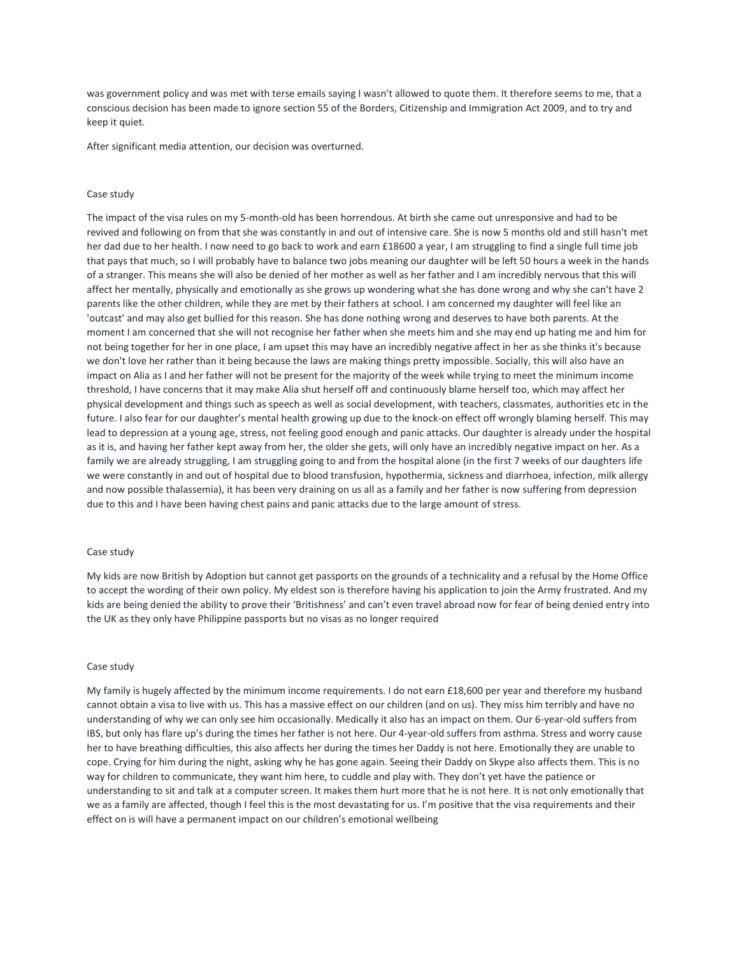was government policy and was met with terse emails saying I wasn't allowed to quote them. It therefore seems to me, that a conscious decision has been made to ignore section 55 of the Borders, Citizenship and Immigration Act 2009, and to try and keep it quiet.

After significant media attention, our decision was overturned.

### Case study

The impact of the visa rules on my 5-month-old has been horrendous. At birth she came out unresponsive and had to be revived and following on from that she was constantly in and out of intensive care. She is now 5 months old and still hasn't met her dad due to her health. I now need to go back to work and earn £18600 a year, I am struggling to find a single full time job that pays that much, so I will probably have to balance two jobs meaning our daughter will be left 50 hours a week in the hands of a stranger. This means she will also be denied of her mother as well as her father and I am incredibly nervous that this will affect her mentally, physically and emotionally as she grows up wondering what she has done wrong and why she can't have 2 parents like the other children, while they are met by their fathers at school. I am concerned my daughter will feel like an 'outcast' and may also get bullied for this reason. She has done nothing wrong and deserves to have both parents. At the moment I am concerned that she will not recognise her father when she meets him and she may end up hating me and him for not being together for her in one place, I am upset this may have an incredibly negative affect in her as she thinks it's because we don't love her rather than it being because the laws are making things pretty impossible. Socially, this will also have an impact on Alia as I and her father will not be present for the majority of the week while trying to meet the minimum income threshold, I have concerns that it may make Alia shut herself off and continuously blame herself too, which may affect her physical development and things such as speech as well as social development, with teachers, classmates, authorities etc in the future. I also fear for our daughter's mental health growing up due to the knock-on effect off wrongly blaming herself. This may lead to depression at a young age, stress, not feeling good enough and panic attacks. Our daughter is already under the hospital as it is, and having her father kept away from her, the older she gets, will only have an incredibly negative impact on her. As a family we are already struggling, I am struggling going to and from the hospital alone (in the first 7 weeks of our daughters life we were constantly in and out of hospital due to blood transfusion, hypothermia, sickness and diarrhoea, infection, milk allergy and now possible thalassemia), it has been very draining on us all as a family and her father is now suffering from depression due to this and I have been having chest pains and panic attacks due to the large amount of stress.

#### Case study

My kids are now British by Adoption but cannot get passports on the grounds of a technicality and a refusal by the Home Office to accept the wording of their own policy. My eldest son is therefore having his application to join the Army frustrated. And my kids are being denied the ability to prove their 'Britishness' and can't even travel abroad now for fear of being denied entry into the UK as they only have Philippine passports but no visas as no longer required

#### Case study

My family is hugely affected by the minimum income requirements. I do not earn £18,600 per year and therefore my husband cannot obtain a visa to live with us. This has a massive effect on our children (and on us). They miss him terribly and have no understanding of why we can only see him occasionally. Medically it also has an impact on them. Our 6-year-old suffers from IBS, but only has flare up's during the times her father is not here. Our 4-year-old suffers from asthma. Stress and worry cause her to have breathing difficulties, this also affects her during the times her Daddy is not here. Emotionally they are unable to cope. Crying for him during the night, asking why he has gone again. Seeing their Daddy on Skype also affects them. This is no way for children to communicate, they want him here, to cuddle and play with. They don't yet have the patience or understanding to sit and talk at a computer screen. It makes them hurt more that he is not here. It is not only emotionally that we as a family are affected, though I feel this is the most devastating for us. I'm positive that the visa requirements and their effect on is will have a permanent impact on our children's emotional wellbeing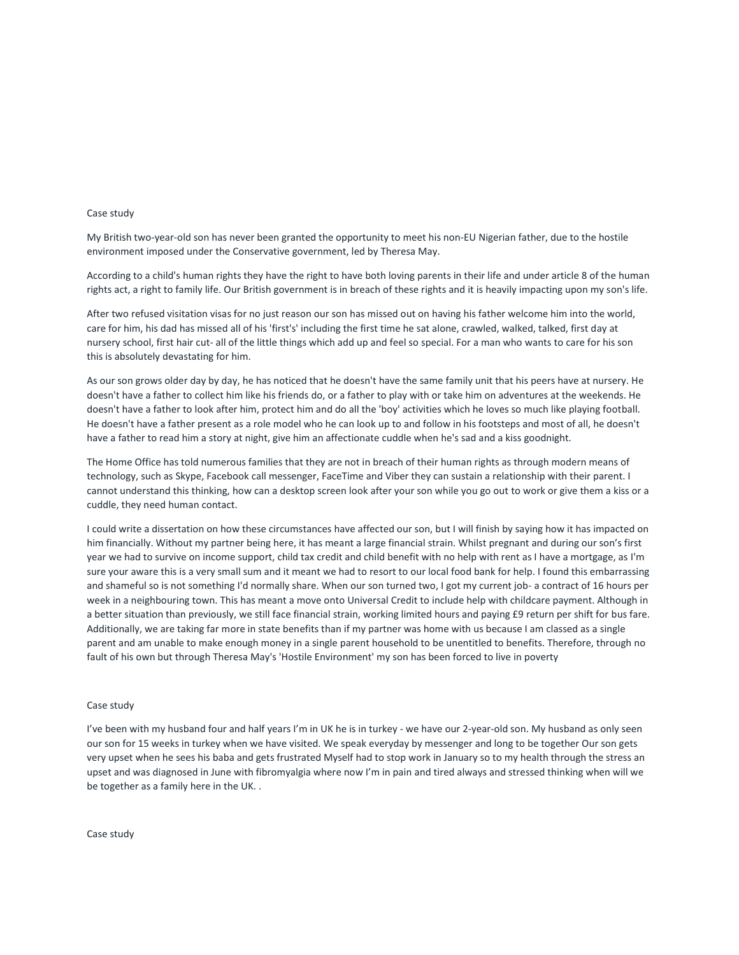#### Case study

My British two-year-old son has never been granted the opportunity to meet his non-EU Nigerian father, due to the hostile environment imposed under the Conservative government, led by Theresa May.

According to a child's human rights they have the right to have both loving parents in their life and under article 8 of the human rights act, a right to family life. Our British government is in breach of these rights and it is heavily impacting upon my son's life.

After two refused visitation visas for no just reason our son has missed out on having his father welcome him into the world, care for him, his dad has missed all of his 'first's' including the first time he sat alone, crawled, walked, talked, first day at nursery school, first hair cut- all of the little things which add up and feel so special. For a man who wants to care for his son this is absolutely devastating for him.

As our son grows older day by day, he has noticed that he doesn't have the same family unit that his peers have at nursery. He doesn't have a father to collect him like his friends do, or a father to play with or take him on adventures at the weekends. He doesn't have a father to look after him, protect him and do all the 'boy' activities which he loves so much like playing football. He doesn't have a father present as a role model who he can look up to and follow in his footsteps and most of all, he doesn't have a father to read him a story at night, give him an affectionate cuddle when he's sad and a kiss goodnight.

The Home Office has told numerous families that they are not in breach of their human rights as through modern means of technology, such as Skype, Facebook call messenger, FaceTime and Viber they can sustain a relationship with their parent. I cannot understand this thinking, how can a desktop screen look after your son while you go out to work or give them a kiss or a cuddle, they need human contact.

I could write a dissertation on how these circumstances have affected our son, but I will finish by saying how it has impacted on him financially. Without my partner being here, it has meant a large financial strain. Whilst pregnant and during our son's first year we had to survive on income support, child tax credit and child benefit with no help with rent as I have a mortgage, as I'm sure your aware this is a very small sum and it meant we had to resort to our local food bank for help. I found this embarrassing and shameful so is not something I'd normally share. When our son turned two, I got my current job- a contract of 16 hours per week in a neighbouring town. This has meant a move onto Universal Credit to include help with childcare payment. Although in a better situation than previously, we still face financial strain, working limited hours and paying £9 return per shift for bus fare. Additionally, we are taking far more in state benefits than if my partner was home with us because I am classed as a single parent and am unable to make enough money in a single parent household to be unentitled to benefits. Therefore, through no fault of his own but through Theresa May's 'Hostile Environment' my son has been forced to live in poverty

#### Case study

I've been with my husband four and half years I'm in UK he is in turkey - we have our 2-year-old son. My husband as only seen our son for 15 weeks in turkey when we have visited. We speak everyday by messenger and long to be together Our son gets very upset when he sees his baba and gets frustrated Myself had to stop work in January so to my health through the stress an upset and was diagnosed in June with fibromyalgia where now I'm in pain and tired always and stressed thinking when will we be together as a family here in the UK. .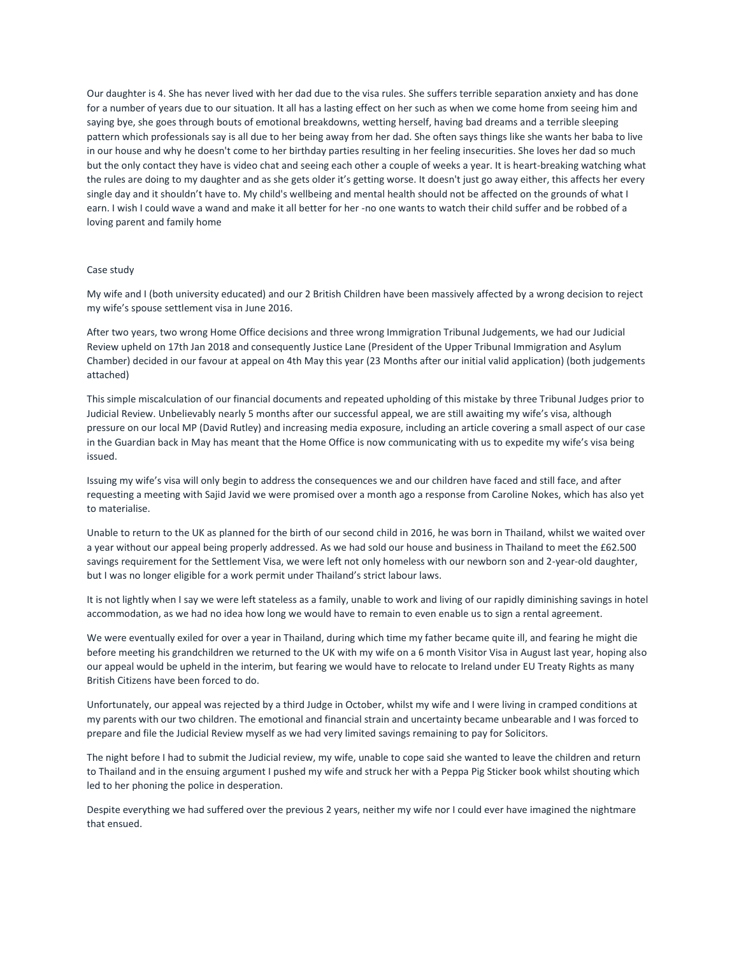Our daughter is 4. She has never lived with her dad due to the visa rules. She suffers terrible separation anxiety and has done for a number of years due to our situation. It all has a lasting effect on her such as when we come home from seeing him and saying bye, she goes through bouts of emotional breakdowns, wetting herself, having bad dreams and a terrible sleeping pattern which professionals say is all due to her being away from her dad. She often says things like she wants her baba to live in our house and why he doesn't come to her birthday parties resulting in her feeling insecurities. She loves her dad so much but the only contact they have is video chat and seeing each other a couple of weeks a year. It is heart-breaking watching what the rules are doing to my daughter and as she gets older it's getting worse. It doesn't just go away either, this affects her every single day and it shouldn't have to. My child's wellbeing and mental health should not be affected on the grounds of what I earn. I wish I could wave a wand and make it all better for her -no one wants to watch their child suffer and be robbed of a loving parent and family home

### Case study

My wife and I (both university educated) and our 2 British Children have been massively affected by a wrong decision to reject my wife's spouse settlement visa in June 2016.

After two years, two wrong Home Office decisions and three wrong Immigration Tribunal Judgements, we had our Judicial Review upheld on 17th Jan 2018 and consequently Justice Lane (President of the Upper Tribunal Immigration and Asylum Chamber) decided in our favour at appeal on 4th May this year (23 Months after our initial valid application) (both judgements attached)

This simple miscalculation of our financial documents and repeated upholding of this mistake by three Tribunal Judges prior to Judicial Review. Unbelievably nearly 5 months after our successful appeal, we are still awaiting my wife's visa, although pressure on our local MP (David Rutley) and increasing media exposure, including an article covering a small aspect of our case in the Guardian back in May has meant that the Home Office is now communicating with us to expedite my wife's visa being issued.

Issuing my wife's visa will only begin to address the consequences we and our children have faced and still face, and after requesting a meeting with Sajid Javid we were promised over a month ago a response from Caroline Nokes, which has also yet to materialise.

Unable to return to the UK as planned for the birth of our second child in 2016, he was born in Thailand, whilst we waited over a year without our appeal being properly addressed. As we had sold our house and business in Thailand to meet the £62.500 savings requirement for the Settlement Visa, we were left not only homeless with our newborn son and 2-year-old daughter, but I was no longer eligible for a work permit under Thailand's strict labour laws.

It is not lightly when I say we were left stateless as a family, unable to work and living of our rapidly diminishing savings in hotel accommodation, as we had no idea how long we would have to remain to even enable us to sign a rental agreement.

We were eventually exiled for over a year in Thailand, during which time my father became quite ill, and fearing he might die before meeting his grandchildren we returned to the UK with my wife on a 6 month Visitor Visa in August last year, hoping also our appeal would be upheld in the interim, but fearing we would have to relocate to Ireland under EU Treaty Rights as many British Citizens have been forced to do.

Unfortunately, our appeal was rejected by a third Judge in October, whilst my wife and I were living in cramped conditions at my parents with our two children. The emotional and financial strain and uncertainty became unbearable and I was forced to prepare and file the Judicial Review myself as we had very limited savings remaining to pay for Solicitors.

The night before I had to submit the Judicial review, my wife, unable to cope said she wanted to leave the children and return to Thailand and in the ensuing argument I pushed my wife and struck her with a Peppa Pig Sticker book whilst shouting which led to her phoning the police in desperation.

Despite everything we had suffered over the previous 2 years, neither my wife nor I could ever have imagined the nightmare that ensued.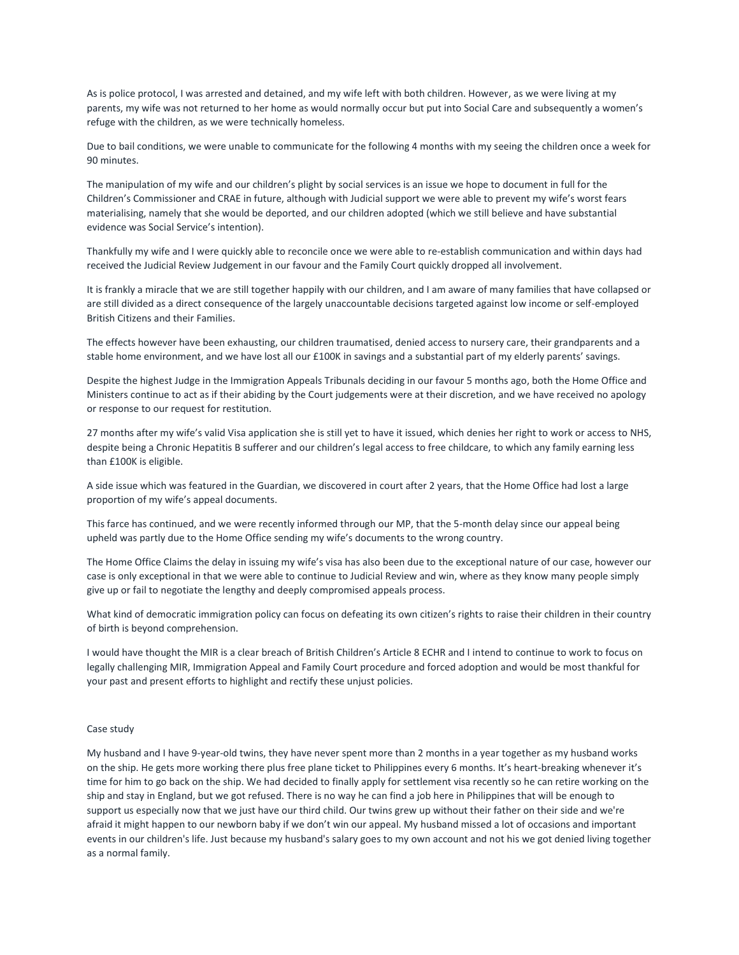As is police protocol, I was arrested and detained, and my wife left with both children. However, as we were living at my parents, my wife was not returned to her home as would normally occur but put into Social Care and subsequently a women's refuge with the children, as we were technically homeless.

Due to bail conditions, we were unable to communicate for the following 4 months with my seeing the children once a week for 90 minutes.

The manipulation of my wife and our children's plight by social services is an issue we hope to document in full for the Children's Commissioner and CRAE in future, although with Judicial support we were able to prevent my wife's worst fears materialising, namely that she would be deported, and our children adopted (which we still believe and have substantial evidence was Social Service's intention).

Thankfully my wife and I were quickly able to reconcile once we were able to re-establish communication and within days had received the Judicial Review Judgement in our favour and the Family Court quickly dropped all involvement.

It is frankly a miracle that we are still together happily with our children, and I am aware of many families that have collapsed or are still divided as a direct consequence of the largely unaccountable decisions targeted against low income or self-employed British Citizens and their Families.

The effects however have been exhausting, our children traumatised, denied access to nursery care, their grandparents and a stable home environment, and we have lost all our £100K in savings and a substantial part of my elderly parents' savings.

Despite the highest Judge in the Immigration Appeals Tribunals deciding in our favour 5 months ago, both the Home Office and Ministers continue to act as if their abiding by the Court judgements were at their discretion, and we have received no apology or response to our request for restitution.

27 months after my wife's valid Visa application she is still yet to have it issued, which denies her right to work or access to NHS, despite being a Chronic Hepatitis B sufferer and our children's legal access to free childcare, to which any family earning less than £100K is eligible.

A side issue which was featured in the Guardian, we discovered in court after 2 years, that the Home Office had lost a large proportion of my wife's appeal documents.

This farce has continued, and we were recently informed through our MP, that the 5-month delay since our appeal being upheld was partly due to the Home Office sending my wife's documents to the wrong country.

The Home Office Claims the delay in issuing my wife's visa has also been due to the exceptional nature of our case, however our case is only exceptional in that we were able to continue to Judicial Review and win, where as they know many people simply give up or fail to negotiate the lengthy and deeply compromised appeals process.

What kind of democratic immigration policy can focus on defeating its own citizen's rights to raise their children in their country of birth is beyond comprehension.

I would have thought the MIR is a clear breach of British Children's Article 8 ECHR and I intend to continue to work to focus on legally challenging MIR, Immigration Appeal and Family Court procedure and forced adoption and would be most thankful for your past and present efforts to highlight and rectify these unjust policies.

#### Case study

My husband and I have 9-year-old twins, they have never spent more than 2 months in a year together as my husband works on the ship. He gets more working there plus free plane ticket to Philippines every 6 months. It's heart-breaking whenever it's time for him to go back on the ship. We had decided to finally apply for settlement visa recently so he can retire working on the ship and stay in England, but we got refused. There is no way he can find a job here in Philippines that will be enough to support us especially now that we just have our third child. Our twins grew up without their father on their side and we're afraid it might happen to our newborn baby if we don't win our appeal. My husband missed a lot of occasions and important events in our children's life. Just because my husband's salary goes to my own account and not his we got denied living together as a normal family.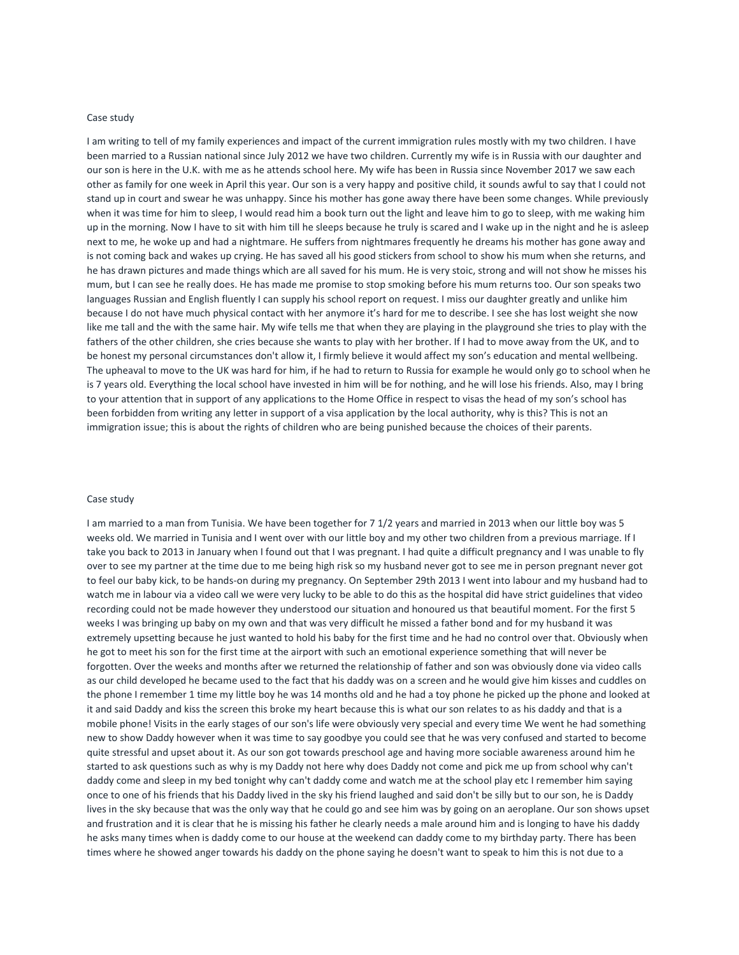## Case study

I am writing to tell of my family experiences and impact of the current immigration rules mostly with my two children. I have been married to a Russian national since July 2012 we have two children. Currently my wife is in Russia with our daughter and our son is here in the U.K. with me as he attends school here. My wife has been in Russia since November 2017 we saw each other as family for one week in April this year. Our son is a very happy and positive child, it sounds awful to say that I could not stand up in court and swear he was unhappy. Since his mother has gone away there have been some changes. While previously when it was time for him to sleep, I would read him a book turn out the light and leave him to go to sleep, with me waking him up in the morning. Now I have to sit with him till he sleeps because he truly is scared and I wake up in the night and he is asleep next to me, he woke up and had a nightmare. He suffers from nightmares frequently he dreams his mother has gone away and is not coming back and wakes up crying. He has saved all his good stickers from school to show his mum when she returns, and he has drawn pictures and made things which are all saved for his mum. He is very stoic, strong and will not show he misses his mum, but I can see he really does. He has made me promise to stop smoking before his mum returns too. Our son speaks two languages Russian and English fluently I can supply his school report on request. I miss our daughter greatly and unlike him because I do not have much physical contact with her anymore it's hard for me to describe. I see she has lost weight she now like me tall and the with the same hair. My wife tells me that when they are playing in the playground she tries to play with the fathers of the other children, she cries because she wants to play with her brother. If I had to move away from the UK, and to be honest my personal circumstances don't allow it, I firmly believe it would affect my son's education and mental wellbeing. The upheaval to move to the UK was hard for him, if he had to return to Russia for example he would only go to school when he is 7 years old. Everything the local school have invested in him will be for nothing, and he will lose his friends. Also, may I bring to your attention that in support of any applications to the Home Office in respect to visas the head of my son's school has been forbidden from writing any letter in support of a visa application by the local authority, why is this? This is not an immigration issue; this is about the rights of children who are being punished because the choices of their parents.

#### Case study

I am married to a man from Tunisia. We have been together for 7 1/2 years and married in 2013 when our little boy was 5 weeks old. We married in Tunisia and I went over with our little boy and my other two children from a previous marriage. If I take you back to 2013 in January when I found out that I was pregnant. I had quite a difficult pregnancy and I was unable to fly over to see my partner at the time due to me being high risk so my husband never got to see me in person pregnant never got to feel our baby kick, to be hands-on during my pregnancy. On September 29th 2013 I went into labour and my husband had to watch me in labour via a video call we were very lucky to be able to do this as the hospital did have strict guidelines that video recording could not be made however they understood our situation and honoured us that beautiful moment. For the first 5 weeks I was bringing up baby on my own and that was very difficult he missed a father bond and for my husband it was extremely upsetting because he just wanted to hold his baby for the first time and he had no control over that. Obviously when he got to meet his son for the first time at the airport with such an emotional experience something that will never be forgotten. Over the weeks and months after we returned the relationship of father and son was obviously done via video calls as our child developed he became used to the fact that his daddy was on a screen and he would give him kisses and cuddles on the phone I remember 1 time my little boy he was 14 months old and he had a toy phone he picked up the phone and looked at it and said Daddy and kiss the screen this broke my heart because this is what our son relates to as his daddy and that is a mobile phone! Visits in the early stages of our son's life were obviously very special and every time We went he had something new to show Daddy however when it was time to say goodbye you could see that he was very confused and started to become quite stressful and upset about it. As our son got towards preschool age and having more sociable awareness around him he started to ask questions such as why is my Daddy not here why does Daddy not come and pick me up from school why can't daddy come and sleep in my bed tonight why can't daddy come and watch me at the school play etc I remember him saying once to one of his friends that his Daddy lived in the sky his friend laughed and said don't be silly but to our son, he is Daddy lives in the sky because that was the only way that he could go and see him was by going on an aeroplane. Our son shows upset and frustration and it is clear that he is missing his father he clearly needs a male around him and is longing to have his daddy he asks many times when is daddy come to our house at the weekend can daddy come to my birthday party. There has been times where he showed anger towards his daddy on the phone saying he doesn't want to speak to him this is not due to a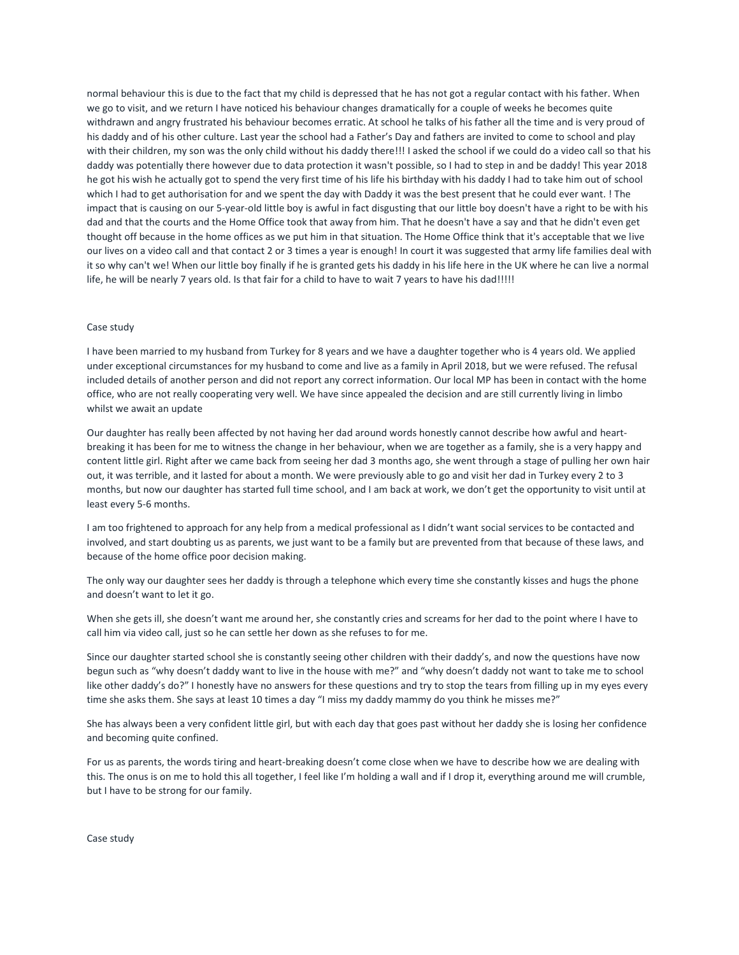normal behaviour this is due to the fact that my child is depressed that he has not got a regular contact with his father. When we go to visit, and we return I have noticed his behaviour changes dramatically for a couple of weeks he becomes quite withdrawn and angry frustrated his behaviour becomes erratic. At school he talks of his father all the time and is very proud of his daddy and of his other culture. Last year the school had a Father's Day and fathers are invited to come to school and play with their children, my son was the only child without his daddy there!!! I asked the school if we could do a video call so that his daddy was potentially there however due to data protection it wasn't possible, so I had to step in and be daddy! This year 2018 he got his wish he actually got to spend the very first time of his life his birthday with his daddy I had to take him out of school which I had to get authorisation for and we spent the day with Daddy it was the best present that he could ever want. ! The impact that is causing on our 5-year-old little boy is awful in fact disgusting that our little boy doesn't have a right to be with his dad and that the courts and the Home Office took that away from him. That he doesn't have a say and that he didn't even get thought off because in the home offices as we put him in that situation. The Home Office think that it's acceptable that we live our lives on a video call and that contact 2 or 3 times a year is enough! In court it was suggested that army life families deal with it so why can't we! When our little boy finally if he is granted gets his daddy in his life here in the UK where he can live a normal life, he will be nearly 7 years old. Is that fair for a child to have to wait 7 years to have his dad!!!!!

### Case study

I have been married to my husband from Turkey for 8 years and we have a daughter together who is 4 years old. We applied under exceptional circumstances for my husband to come and live as a family in April 2018, but we were refused. The refusal included details of another person and did not report any correct information. Our local MP has been in contact with the home office, who are not really cooperating very well. We have since appealed the decision and are still currently living in limbo whilst we await an update

Our daughter has really been affected by not having her dad around words honestly cannot describe how awful and heartbreaking it has been for me to witness the change in her behaviour, when we are together as a family, she is a very happy and content little girl. Right after we came back from seeing her dad 3 months ago, she went through a stage of pulling her own hair out, it was terrible, and it lasted for about a month. We were previously able to go and visit her dad in Turkey every 2 to 3 months, but now our daughter has started full time school, and I am back at work, we don't get the opportunity to visit until at least every 5-6 months.

I am too frightened to approach for any help from a medical professional as I didn't want social services to be contacted and involved, and start doubting us as parents, we just want to be a family but are prevented from that because of these laws, and because of the home office poor decision making.

The only way our daughter sees her daddy is through a telephone which every time she constantly kisses and hugs the phone and doesn't want to let it go.

When she gets ill, she doesn't want me around her, she constantly cries and screams for her dad to the point where I have to call him via video call, just so he can settle her down as she refuses to for me.

Since our daughter started school she is constantly seeing other children with their daddy's, and now the questions have now begun such as "why doesn't daddy want to live in the house with me?" and "why doesn't daddy not want to take me to school like other daddy's do?" I honestly have no answers for these questions and try to stop the tears from filling up in my eyes every time she asks them. She says at least 10 times a day "I miss my daddy mammy do you think he misses me?"

She has always been a very confident little girl, but with each day that goes past without her daddy she is losing her confidence and becoming quite confined.

For us as parents, the words tiring and heart-breaking doesn't come close when we have to describe how we are dealing with this. The onus is on me to hold this all together, I feel like I'm holding a wall and if I drop it, everything around me will crumble, but I have to be strong for our family.

Case study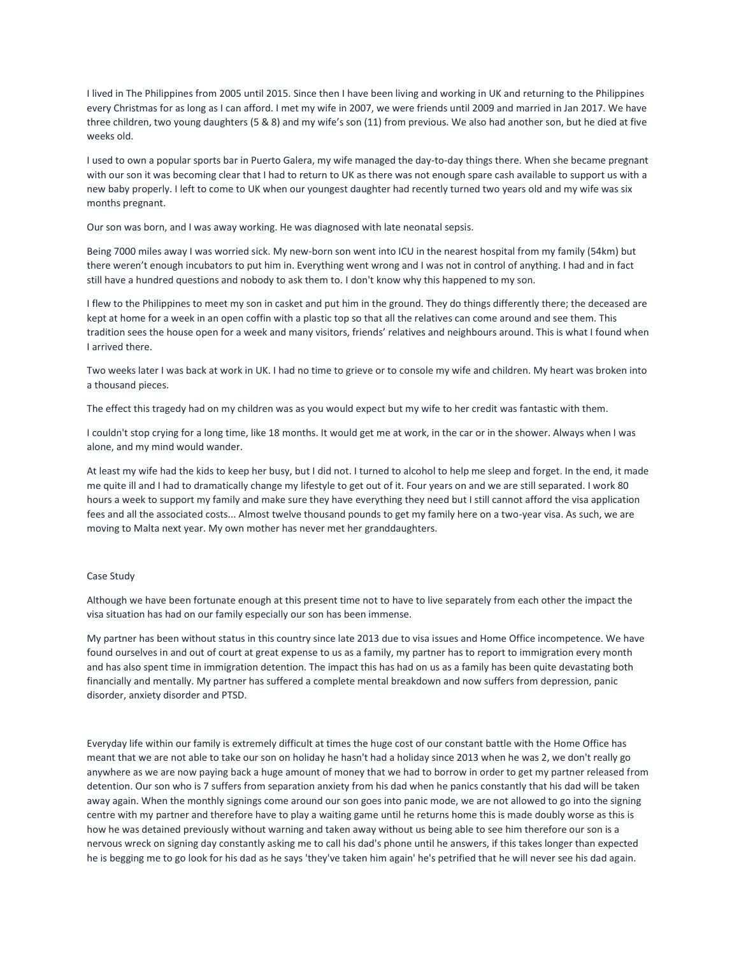I lived in The Philippines from 2005 until 2015. Since then I have been living and working in UK and returning to the Philippines every Christmas for as long as I can afford. I met my wife in 2007, we were friends until 2009 and married in Jan 2017. We have three children, two young daughters (5 & 8) and my wife's son (11) from previous. We also had another son, but he died at five weeks old.

I used to own a popular sports bar in Puerto Galera, my wife managed the day-to-day things there. When she became pregnant with our son it was becoming clear that I had to return to UK as there was not enough spare cash available to support us with a new baby properly. I left to come to UK when our youngest daughter had recently turned two years old and my wife was six months pregnant.

Our son was born, and I was away working. He was diagnosed with late neonatal sepsis.

Being 7000 miles away I was worried sick. My new-born son went into ICU in the nearest hospital from my family (54km) but there weren't enough incubators to put him in. Everything went wrong and I was not in control of anything. I had and in fact still have a hundred questions and nobody to ask them to. I don't know why this happened to my son.

I flew to the Philippines to meet my son in casket and put him in the ground. They do things differently there; the deceased are kept at home for a week in an open coffin with a plastic top so that all the relatives can come around and see them. This tradition sees the house open for a week and many visitors, friends' relatives and neighbours around. This is what I found when I arrived there.

Two weeks later I was back at work in UK. I had no time to grieve or to console my wife and children. My heart was broken into a thousand pieces.

The effect this tragedy had on my children was as you would expect but my wife to her credit was fantastic with them.

I couldn't stop crying for a long time, like 18 months. It would get me at work, in the car or in the shower. Always when I was alone, and my mind would wander.

At least my wife had the kids to keep her busy, but I did not. I turned to alcohol to help me sleep and forget. In the end, it made me quite ill and I had to dramatically change my lifestyle to get out of it. Four years on and we are still separated. I work 80 hours a week to support my family and make sure they have everything they need but I still cannot afford the visa application fees and all the associated costs... Almost twelve thousand pounds to get my family here on a two-year visa. As such, we are moving to Malta next year. My own mother has never met her granddaughters.

### Case Study

Although we have been fortunate enough at this present time not to have to live separately from each other the impact the visa situation has had on our family especially our son has been immense.

My partner has been without status in this country since late 2013 due to visa issues and Home Office incompetence. We have found ourselves in and out of court at great expense to us as a family, my partner has to report to immigration every month and has also spent time in immigration detention. The impact this has had on us as a family has been quite devastating both financially and mentally. My partner has suffered a complete mental breakdown and now suffers from depression, panic disorder, anxiety disorder and PTSD.

Everyday life within our family is extremely difficult at times the huge cost of our constant battle with the Home Office has meant that we are not able to take our son on holiday he hasn't had a holiday since 2013 when he was 2, we don't really go anywhere as we are now paying back a huge amount of money that we had to borrow in order to get my partner released from detention. Our son who is 7 suffers from separation anxiety from his dad when he panics constantly that his dad will be taken away again. When the monthly signings come around our son goes into panic mode, we are not allowed to go into the signing centre with my partner and therefore have to play a waiting game until he returns home this is made doubly worse as this is how he was detained previously without warning and taken away without us being able to see him therefore our son is a nervous wreck on signing day constantly asking me to call his dad's phone until he answers, if this takes longer than expected he is begging me to go look for his dad as he says 'they've taken him again' he's petrified that he will never see his dad again.